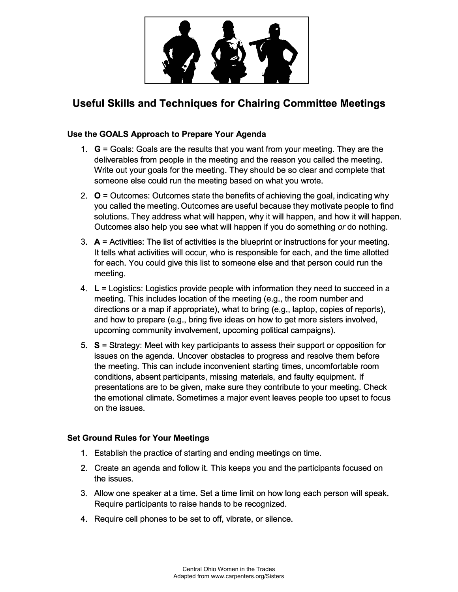

# **Useful Skills and Techniques for Chairing Committee Meetings**

# **Use the GOALS Approach to Prepare Your Agenda**

- 1. **G** = Goals: Goals are the results that you want from your meeting. They are the deliverables from people in the meeting and the reason you called the meeting. Write out your goals for the meeting. They should be so clear and complete that someone else could run the meeting based on what you wrote.
- 2.  $O =$  Outcomes: Outcomes state the benefits of achieving the goal, indicating why you called the meeting. Outcomes are useful because they motivate people to find solutions. They address what will happen, why it will happen, and how it will happen. Outcomes also help you see what will happen if you do something *or* do nothing.
- 3. **A=** Activities: The list of activities is the blueprint or instructions for your meeting. It tells what activities will occur, who is responsible for each, and the time allotted for each. You could give this list to someone else and that person could run the meeting.
- 4. **L** = Logistics: Logistics provide people with information they need to succeed in a meeting. This includes location of the meeting (e.g., the room number and directions or a map if appropriate), what to bring (e.g., laptop, copies of reports), and how to prepare (e.g., bring five ideas on how to get more sisters involved, upcoming community involvement, upcoming political campaigns).
- 5. **S** = Strategy: Meet with key participants to assess their support or opposition for issues on the agenda. Uncover obstacles to progress and resolve them before the meeting. This can include inconvenient starting times, uncomfortable room conditions, absent participants, missing materials, and faulty equipment. If presentations are to be given, make sure they contribute to your meeting. Check the emotional climate. Sometimes a major event leaves people too upset to focus on the issues.

# **Set Ground Rules for Your Meetings**

- 1. Establish the practice of starting and ending meetings on time.
- 2. Create an agenda and follow it. This keeps you and the participants focused on the issues.
- 3. Allow one speaker at a time. Set a time limit on how long each person will speak. Require participants to raise hands to be recognized.
- 4. Require cell phones to be set to off, vibrate, or silence.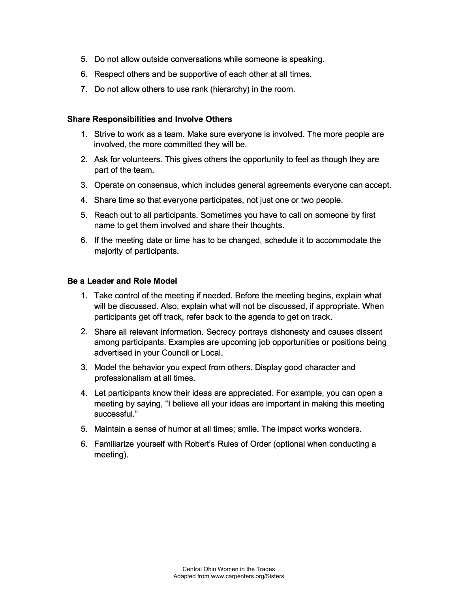- 5. Do not allow outside conversations while someone is speaking.
- 6. Respect others and be supportive of each other at all times.
- 7. Do not allow others to use rank (hierarchy) in the room.

### **Share Responsibilities and Involve Others**

- 1. Strive to work as a team. Make sure everyone is involved. The more people are involved, the more committed they will be.
- 2. Ask for volunteers. This gives others the opportunity to feel as though they are part of the team.
- 3. Operate on consensus, which includes general agreements everyone can accept.
- 4. Share time so that everyone participates, not just one or two people.
- 5. Reach out to all participants. Sometimes you have to call on someone by first name to get them involved and share their thoughts.
- 6. If the meeting date or time has to be changed, schedule it to accommodate the majority of participants.

#### **Be a Leader and Role Model**

- 1. Take control of the meeting if needed. Before the meeting begins, explain what will be discussed. Also, explain what will not be discussed, if appropriate. When participants get off track, refer back to the agenda to get on track.
- 2. Share all relevant information. Secrecy portrays dishonesty and causes dissent among participants. Examples are upcoming job opportunities or positions being advertised in your Council or Local.
- 3. Model the behavior you expect from others. Display good character and professionalism at all times.
- 4. Let participants know their ideas are appreciated. For example, you can open a meeting by saying, "I believe all your ideas are important in making this meeting successful."
- 5. Maintain a sense of humor at all times; smile. The impact works wonders.
- 6. Familiarize yourself with Robert's Rules of Order (optional when conducting a meeting).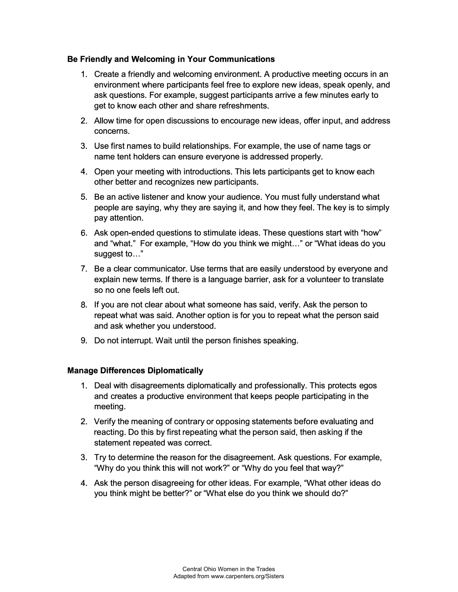#### **Be Friendly and Welcoming in Your Communications**

- 1. Create a friendly and welcoming environment. A productive meeting occurs in an environment where participants feel free to explore new ideas, speak openly, and ask questions. For example, suggest participants arrive a few minutes early to get to know each other and share refreshments.
- 2. Allow time for open discussions to encourage new ideas, offer input, and address concerns.
- 3. Use first names to build relationships. For example, the use of name tags or name tent holders can ensure everyone is addressed properly.
- 4. Open your meeting with introductions. This lets participants get to know each other better and recognizes new participants.
- 5. Be an active listener and know your audience. You must fully understand what people are saying, why they are saying it, and how they feel. The key is to simply pay attention.
- 6. Ask open-ended questions to stimulate ideas. These questions start with "how'' and "what." For example, "How do you think we might..." or "What ideas do you suggest to..."
- 7. Be a clear communicator. Use terms that are easily understood by everyone and explain new terms. If there is a language barrier, ask for a volunteer to translate so no one feels left out.
- 8. If you are not clear about what someone has said, verify. Ask the person to repeat what was said. Another option is for you to repeat what the person said and ask whether you understood.
- 9. Do not interrupt. Wait until the person finishes speaking.

#### **Manage Differences Diplomatically**

- 1. Deal with disagreements diplomatically and professionally. This protects egos and creates a productive environment that keeps people participating in the meeting.
- 2. Verify the meaning of contrary or opposing statements before evaluating and reacting. Do this by first repeating what the person said, then asking if the statement repeated was correct.
- 3. Try to determine the reason for the disagreement. Ask questions. For example, "Why do you think this will not work?" or 'Why do you feel that way?"
- 4. Ask the person disagreeing for other ideas. For example, 'What other ideas do you think might be better?" or "What else do you think we should do?"